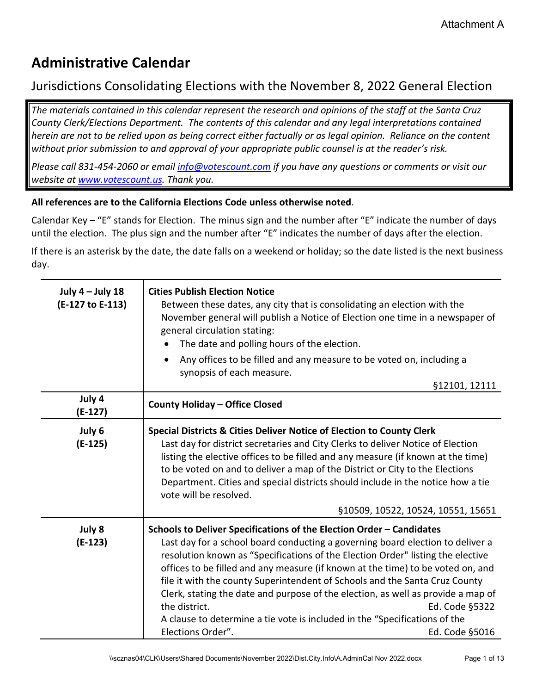## **Administrative Calendar**

## Jurisdictions Consolidating Elections with the November 8, 2022 General Election

*The materials contained in this calendar represent the research and opinions of the staff at the Santa Cruz County Clerk/Elections Department. The contents of this calendar and any legal interpretations contained herein are not to be relied upon as being correct either factually or as legal opinion. Reliance on the content without prior submission to and approval of your appropriate public counsel is at the reader's risk.* 

*Please call 831-454-2060 or email [info@votescount.com](mailto:info@votescount.com) if you have any questions or comments or visit our website at [www.votescount.us.](http://www.votescount.us/) Thank you.*

## **All references are to the California Elections Code unless otherwise noted**.

Calendar Key – "E" stands for Election. The minus sign and the number after "E" indicate the number of days until the election. The plus sign and the number after "E" indicates the number of days after the election.

If there is an asterisk by the date, the date falls on a weekend or holiday; so the date listed is the next business day.

| July $4$ – July 18<br>(E-127 to E-113) | <b>Cities Publish Election Notice</b><br>Between these dates, any city that is consolidating an election with the<br>November general will publish a Notice of Election one time in a newspaper of<br>general circulation stating:<br>The date and polling hours of the election.<br>Any offices to be filled and any measure to be voted on, including a<br>$\bullet$<br>synopsis of each measure.<br>§12101, 12111                                                                                                                                                                                                                                    |
|----------------------------------------|---------------------------------------------------------------------------------------------------------------------------------------------------------------------------------------------------------------------------------------------------------------------------------------------------------------------------------------------------------------------------------------------------------------------------------------------------------------------------------------------------------------------------------------------------------------------------------------------------------------------------------------------------------|
| July 4<br>$(E-127)$                    | <b>County Holiday - Office Closed</b>                                                                                                                                                                                                                                                                                                                                                                                                                                                                                                                                                                                                                   |
| July 6<br>$(E-125)$                    | Special Districts & Cities Deliver Notice of Election to County Clerk<br>Last day for district secretaries and City Clerks to deliver Notice of Election<br>listing the elective offices to be filled and any measure (if known at the time)<br>to be voted on and to deliver a map of the District or City to the Elections<br>Department. Cities and special districts should include in the notice how a tie<br>vote will be resolved.<br>§10509, 10522, 10524, 10551, 15651                                                                                                                                                                         |
| July 8<br>$(E-123)$                    | Schools to Deliver Specifications of the Election Order - Candidates<br>Last day for a school board conducting a governing board election to deliver a<br>resolution known as "Specifications of the Election Order" listing the elective<br>offices to be filled and any measure (if known at the time) to be voted on, and<br>file it with the county Superintendent of Schools and the Santa Cruz County<br>Clerk, stating the date and purpose of the election, as well as provide a map of<br>the district.<br>Ed. Code §5322<br>A clause to determine a tie vote is included in the "Specifications of the<br>Elections Order".<br>Ed. Code §5016 |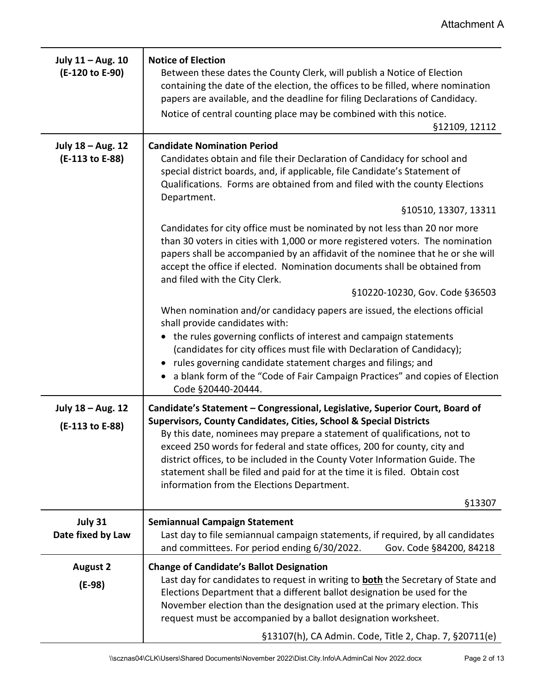| July 11 - Aug. 10<br>(E-120 to E-90) | <b>Notice of Election</b><br>Between these dates the County Clerk, will publish a Notice of Election<br>containing the date of the election, the offices to be filled, where nomination<br>papers are available, and the deadline for filing Declarations of Candidacy.<br>Notice of central counting place may be combined with this notice.<br>§12109, 12112                                                                                                                                                                   |
|--------------------------------------|----------------------------------------------------------------------------------------------------------------------------------------------------------------------------------------------------------------------------------------------------------------------------------------------------------------------------------------------------------------------------------------------------------------------------------------------------------------------------------------------------------------------------------|
| July 18 - Aug. 12<br>(E-113 to E-88) | <b>Candidate Nomination Period</b><br>Candidates obtain and file their Declaration of Candidacy for school and<br>special district boards, and, if applicable, file Candidate's Statement of<br>Qualifications. Forms are obtained from and filed with the county Elections<br>Department.                                                                                                                                                                                                                                       |
|                                      | §10510, 13307, 13311                                                                                                                                                                                                                                                                                                                                                                                                                                                                                                             |
|                                      | Candidates for city office must be nominated by not less than 20 nor more<br>than 30 voters in cities with 1,000 or more registered voters. The nomination<br>papers shall be accompanied by an affidavit of the nominee that he or she will<br>accept the office if elected. Nomination documents shall be obtained from<br>and filed with the City Clerk.                                                                                                                                                                      |
|                                      | §10220-10230, Gov. Code §36503                                                                                                                                                                                                                                                                                                                                                                                                                                                                                                   |
|                                      | When nomination and/or candidacy papers are issued, the elections official<br>shall provide candidates with:                                                                                                                                                                                                                                                                                                                                                                                                                     |
|                                      | the rules governing conflicts of interest and campaign statements<br>(candidates for city offices must file with Declaration of Candidacy);<br>• rules governing candidate statement charges and filings; and<br>a blank form of the "Code of Fair Campaign Practices" and copies of Election<br>Code §20440-20444.                                                                                                                                                                                                              |
| July 18 - Aug. 12<br>(E-113 to E-88) | Candidate's Statement - Congressional, Legislative, Superior Court, Board of<br><b>Supervisors, County Candidates, Cities, School &amp; Special Districts</b><br>By this date, nominees may prepare a statement of qualifications, not to<br>exceed 250 words for federal and state offices, 200 for county, city and<br>district offices, to be included in the County Voter Information Guide. The<br>statement shall be filed and paid for at the time it is filed. Obtain cost<br>information from the Elections Department. |
|                                      | §13307                                                                                                                                                                                                                                                                                                                                                                                                                                                                                                                           |
| July 31<br>Date fixed by Law         | <b>Semiannual Campaign Statement</b><br>Last day to file semiannual campaign statements, if required, by all candidates<br>and committees. For period ending 6/30/2022.<br>Gov. Code §84200, 84218                                                                                                                                                                                                                                                                                                                               |
| <b>August 2</b><br>$(E-98)$          | <b>Change of Candidate's Ballot Designation</b><br>Last day for candidates to request in writing to <b>both</b> the Secretary of State and<br>Elections Department that a different ballot designation be used for the<br>November election than the designation used at the primary election. This<br>request must be accompanied by a ballot designation worksheet.                                                                                                                                                            |
|                                      | §13107(h), CA Admin. Code, Title 2, Chap. 7, §20711(e)                                                                                                                                                                                                                                                                                                                                                                                                                                                                           |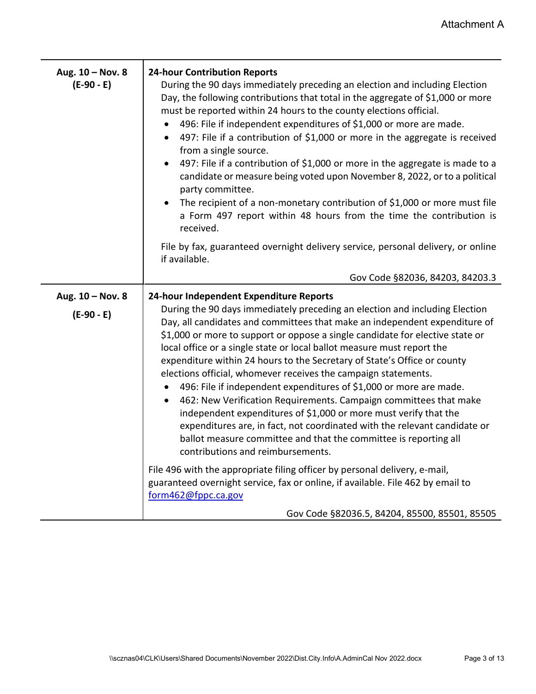| Aug. 10 - Nov. 8<br>$(E-90 - E)$ | <b>24-hour Contribution Reports</b><br>During the 90 days immediately preceding an election and including Election<br>Day, the following contributions that total in the aggregate of \$1,000 or more<br>must be reported within 24 hours to the county elections official.<br>496: File if independent expenditures of \$1,000 or more are made.<br>$\bullet$<br>497: File if a contribution of \$1,000 or more in the aggregate is received<br>$\bullet$<br>from a single source.<br>497: File if a contribution of \$1,000 or more in the aggregate is made to a<br>$\bullet$<br>candidate or measure being voted upon November 8, 2022, or to a political<br>party committee.<br>The recipient of a non-monetary contribution of \$1,000 or more must file<br>$\bullet$<br>a Form 497 report within 48 hours from the time the contribution is<br>received.                                                                              |
|----------------------------------|----------------------------------------------------------------------------------------------------------------------------------------------------------------------------------------------------------------------------------------------------------------------------------------------------------------------------------------------------------------------------------------------------------------------------------------------------------------------------------------------------------------------------------------------------------------------------------------------------------------------------------------------------------------------------------------------------------------------------------------------------------------------------------------------------------------------------------------------------------------------------------------------------------------------------------------------|
|                                  | File by fax, guaranteed overnight delivery service, personal delivery, or online<br>if available.                                                                                                                                                                                                                                                                                                                                                                                                                                                                                                                                                                                                                                                                                                                                                                                                                                            |
|                                  | Gov Code §82036, 84203, 84203.3                                                                                                                                                                                                                                                                                                                                                                                                                                                                                                                                                                                                                                                                                                                                                                                                                                                                                                              |
| Aug. 10 - Nov. 8<br>$(E-90 - E)$ | 24-hour Independent Expenditure Reports<br>During the 90 days immediately preceding an election and including Election<br>Day, all candidates and committees that make an independent expenditure of<br>\$1,000 or more to support or oppose a single candidate for elective state or<br>local office or a single state or local ballot measure must report the<br>expenditure within 24 hours to the Secretary of State's Office or county<br>elections official, whomever receives the campaign statements.<br>496: File if independent expenditures of \$1,000 or more are made.<br>$\bullet$<br>462: New Verification Requirements. Campaign committees that make<br>$\bullet$<br>independent expenditures of \$1,000 or more must verify that the<br>expenditures are, in fact, not coordinated with the relevant candidate or<br>ballot measure committee and that the committee is reporting all<br>contributions and reimbursements. |
|                                  | File 496 with the appropriate filing officer by personal delivery, e-mail,<br>guaranteed overnight service, fax or online, if available. File 462 by email to<br>form462@fppc.ca.gov                                                                                                                                                                                                                                                                                                                                                                                                                                                                                                                                                                                                                                                                                                                                                         |
|                                  | Gov Code §82036.5, 84204, 85500, 85501, 85505                                                                                                                                                                                                                                                                                                                                                                                                                                                                                                                                                                                                                                                                                                                                                                                                                                                                                                |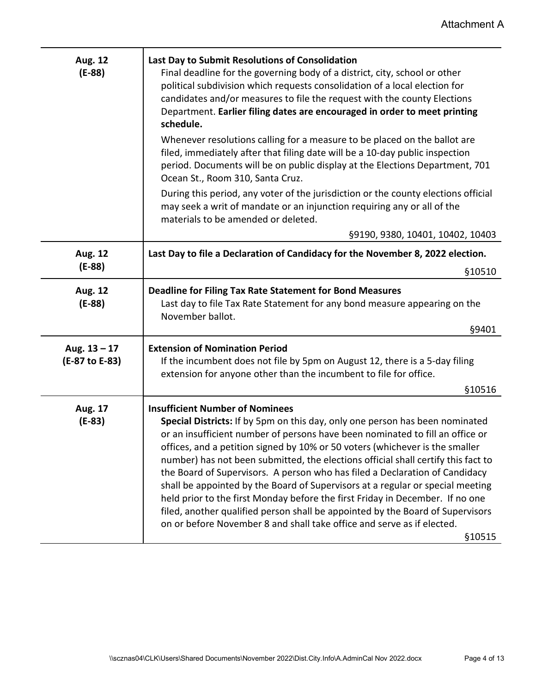| <b>Aug. 12</b><br>$(E-88)$       | Last Day to Submit Resolutions of Consolidation<br>Final deadline for the governing body of a district, city, school or other<br>political subdivision which requests consolidation of a local election for<br>candidates and/or measures to file the request with the county Elections<br>Department. Earlier filing dates are encouraged in order to meet printing<br>schedule.                                                                                                                                                                                                                                                                                                                                                                                                                     |
|----------------------------------|-------------------------------------------------------------------------------------------------------------------------------------------------------------------------------------------------------------------------------------------------------------------------------------------------------------------------------------------------------------------------------------------------------------------------------------------------------------------------------------------------------------------------------------------------------------------------------------------------------------------------------------------------------------------------------------------------------------------------------------------------------------------------------------------------------|
|                                  | Whenever resolutions calling for a measure to be placed on the ballot are<br>filed, immediately after that filing date will be a 10-day public inspection<br>period. Documents will be on public display at the Elections Department, 701<br>Ocean St., Room 310, Santa Cruz.                                                                                                                                                                                                                                                                                                                                                                                                                                                                                                                         |
|                                  | During this period, any voter of the jurisdiction or the county elections official<br>may seek a writ of mandate or an injunction requiring any or all of the<br>materials to be amended or deleted.                                                                                                                                                                                                                                                                                                                                                                                                                                                                                                                                                                                                  |
|                                  | §9190, 9380, 10401, 10402, 10403                                                                                                                                                                                                                                                                                                                                                                                                                                                                                                                                                                                                                                                                                                                                                                      |
| Aug. 12<br>$(E-88)$              | Last Day to file a Declaration of Candidacy for the November 8, 2022 election.                                                                                                                                                                                                                                                                                                                                                                                                                                                                                                                                                                                                                                                                                                                        |
|                                  | §10510                                                                                                                                                                                                                                                                                                                                                                                                                                                                                                                                                                                                                                                                                                                                                                                                |
| Aug. 12<br>$(E-88)$              | <b>Deadline for Filing Tax Rate Statement for Bond Measures</b><br>Last day to file Tax Rate Statement for any bond measure appearing on the<br>November ballot.                                                                                                                                                                                                                                                                                                                                                                                                                                                                                                                                                                                                                                      |
|                                  | §9401                                                                                                                                                                                                                                                                                                                                                                                                                                                                                                                                                                                                                                                                                                                                                                                                 |
| Aug. $13 - 17$<br>(E-87 to E-83) | <b>Extension of Nomination Period</b><br>If the incumbent does not file by 5pm on August 12, there is a 5-day filing<br>extension for anyone other than the incumbent to file for office.                                                                                                                                                                                                                                                                                                                                                                                                                                                                                                                                                                                                             |
|                                  | §10516                                                                                                                                                                                                                                                                                                                                                                                                                                                                                                                                                                                                                                                                                                                                                                                                |
| Aug. 17<br>$(E-83)$              | <b>Insufficient Number of Nominees</b><br>Special Districts: If by 5pm on this day, only one person has been nominated<br>or an insufficient number of persons have been nominated to fill an office or<br>offices, and a petition signed by 10% or 50 voters (whichever is the smaller<br>number) has not been submitted, the elections official shall certify this fact to<br>the Board of Supervisors. A person who has filed a Declaration of Candidacy<br>shall be appointed by the Board of Supervisors at a regular or special meeting<br>held prior to the first Monday before the first Friday in December. If no one<br>filed, another qualified person shall be appointed by the Board of Supervisors<br>on or before November 8 and shall take office and serve as if elected.<br>\$10515 |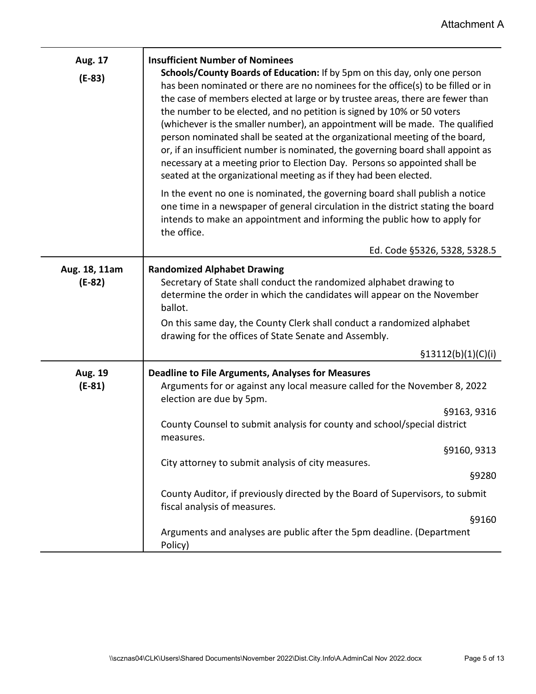| Aug. 17<br>$(E-83)$       | <b>Insufficient Number of Nominees</b><br>Schools/County Boards of Education: If by 5pm on this day, only one person<br>has been nominated or there are no nominees for the office(s) to be filled or in<br>the case of members elected at large or by trustee areas, there are fewer than<br>the number to be elected, and no petition is signed by 10% or 50 voters<br>(whichever is the smaller number), an appointment will be made. The qualified<br>person nominated shall be seated at the organizational meeting of the board,<br>or, if an insufficient number is nominated, the governing board shall appoint as<br>necessary at a meeting prior to Election Day. Persons so appointed shall be<br>seated at the organizational meeting as if they had been elected. |
|---------------------------|--------------------------------------------------------------------------------------------------------------------------------------------------------------------------------------------------------------------------------------------------------------------------------------------------------------------------------------------------------------------------------------------------------------------------------------------------------------------------------------------------------------------------------------------------------------------------------------------------------------------------------------------------------------------------------------------------------------------------------------------------------------------------------|
|                           | In the event no one is nominated, the governing board shall publish a notice<br>one time in a newspaper of general circulation in the district stating the board<br>intends to make an appointment and informing the public how to apply for<br>the office.                                                                                                                                                                                                                                                                                                                                                                                                                                                                                                                    |
|                           | Ed. Code §5326, 5328, 5328.5                                                                                                                                                                                                                                                                                                                                                                                                                                                                                                                                                                                                                                                                                                                                                   |
| Aug. 18, 11am<br>$(E-82)$ | <b>Randomized Alphabet Drawing</b><br>Secretary of State shall conduct the randomized alphabet drawing to<br>determine the order in which the candidates will appear on the November<br>ballot.<br>On this same day, the County Clerk shall conduct a randomized alphabet<br>drawing for the offices of State Senate and Assembly.                                                                                                                                                                                                                                                                                                                                                                                                                                             |
|                           | \$13112(b)(1)(C)(i)                                                                                                                                                                                                                                                                                                                                                                                                                                                                                                                                                                                                                                                                                                                                                            |
| Aug. 19<br>$(E-81)$       | <b>Deadline to File Arguments, Analyses for Measures</b><br>Arguments for or against any local measure called for the November 8, 2022<br>election are due by 5pm.<br>§9163, 9316<br>County Counsel to submit analysis for county and school/special district                                                                                                                                                                                                                                                                                                                                                                                                                                                                                                                  |
|                           | measures.<br>§9160, 9313                                                                                                                                                                                                                                                                                                                                                                                                                                                                                                                                                                                                                                                                                                                                                       |
|                           | City attorney to submit analysis of city measures.<br>§9280                                                                                                                                                                                                                                                                                                                                                                                                                                                                                                                                                                                                                                                                                                                    |
|                           | County Auditor, if previously directed by the Board of Supervisors, to submit<br>fiscal analysis of measures.                                                                                                                                                                                                                                                                                                                                                                                                                                                                                                                                                                                                                                                                  |
|                           | §9160<br>Arguments and analyses are public after the 5pm deadline. (Department<br>Policy)                                                                                                                                                                                                                                                                                                                                                                                                                                                                                                                                                                                                                                                                                      |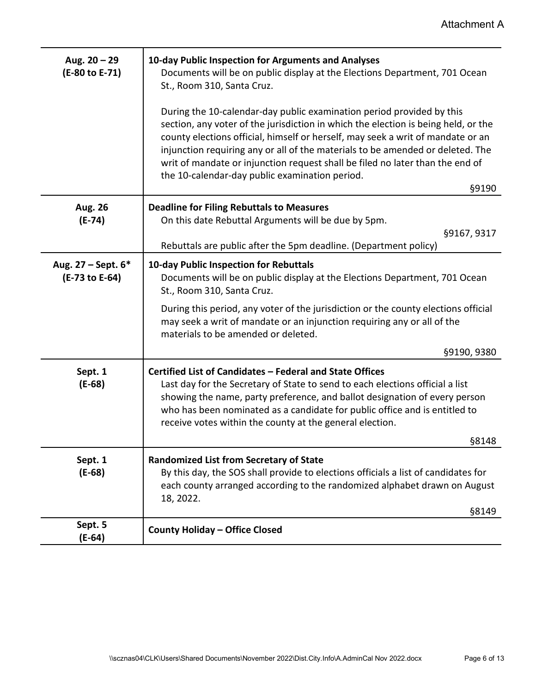| Aug. $20 - 29$<br>(E-80 to E-71)     | 10-day Public Inspection for Arguments and Analyses<br>Documents will be on public display at the Elections Department, 701 Ocean<br>St., Room 310, Santa Cruz.                                                                                                                                                                                                                                                                                                              |
|--------------------------------------|------------------------------------------------------------------------------------------------------------------------------------------------------------------------------------------------------------------------------------------------------------------------------------------------------------------------------------------------------------------------------------------------------------------------------------------------------------------------------|
|                                      | During the 10-calendar-day public examination period provided by this<br>section, any voter of the jurisdiction in which the election is being held, or the<br>county elections official, himself or herself, may seek a writ of mandate or an<br>injunction requiring any or all of the materials to be amended or deleted. The<br>writ of mandate or injunction request shall be filed no later than the end of<br>the 10-calendar-day public examination period.<br>§9190 |
| Aug. 26                              | <b>Deadline for Filing Rebuttals to Measures</b>                                                                                                                                                                                                                                                                                                                                                                                                                             |
| $(E-74)$                             | On this date Rebuttal Arguments will be due by 5pm.                                                                                                                                                                                                                                                                                                                                                                                                                          |
|                                      | §9167, 9317<br>Rebuttals are public after the 5pm deadline. (Department policy)                                                                                                                                                                                                                                                                                                                                                                                              |
| Aug. 27 - Sept. 6*<br>(E-73 to E-64) | 10-day Public Inspection for Rebuttals<br>Documents will be on public display at the Elections Department, 701 Ocean<br>St., Room 310, Santa Cruz.                                                                                                                                                                                                                                                                                                                           |
|                                      | During this period, any voter of the jurisdiction or the county elections official<br>may seek a writ of mandate or an injunction requiring any or all of the<br>materials to be amended or deleted.                                                                                                                                                                                                                                                                         |
|                                      | §9190, 9380                                                                                                                                                                                                                                                                                                                                                                                                                                                                  |
| Sept. 1<br>$(E-68)$                  | Certified List of Candidates - Federal and State Offices<br>Last day for the Secretary of State to send to each elections official a list<br>showing the name, party preference, and ballot designation of every person<br>who has been nominated as a candidate for public office and is entitled to<br>receive votes within the county at the general election.                                                                                                            |
|                                      | §8148                                                                                                                                                                                                                                                                                                                                                                                                                                                                        |
| Sept. 1<br>$(E-68)$                  | <b>Randomized List from Secretary of State</b><br>By this day, the SOS shall provide to elections officials a list of candidates for<br>each county arranged according to the randomized alphabet drawn on August<br>18, 2022.<br>§8149                                                                                                                                                                                                                                      |
| Sept. 5                              | <b>County Holiday - Office Closed</b>                                                                                                                                                                                                                                                                                                                                                                                                                                        |
| $(E-64)$                             |                                                                                                                                                                                                                                                                                                                                                                                                                                                                              |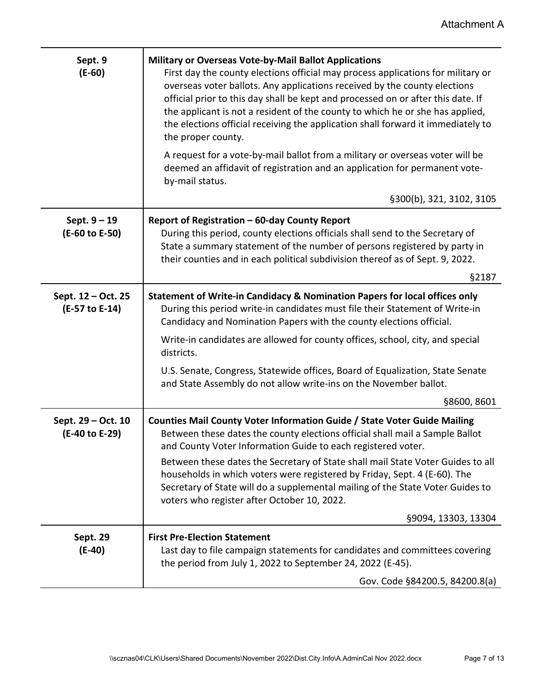| Sept. 9<br>$(E-60)$                  | <b>Military or Overseas Vote-by-Mail Ballot Applications</b><br>First day the county elections official may process applications for military or<br>overseas voter ballots. Any applications received by the county elections<br>official prior to this day shall be kept and processed on or after this date. If<br>the applicant is not a resident of the county to which he or she has applied,<br>the elections official receiving the application shall forward it immediately to<br>the proper county. |
|--------------------------------------|--------------------------------------------------------------------------------------------------------------------------------------------------------------------------------------------------------------------------------------------------------------------------------------------------------------------------------------------------------------------------------------------------------------------------------------------------------------------------------------------------------------|
|                                      | A request for a vote-by-mail ballot from a military or overseas voter will be<br>deemed an affidavit of registration and an application for permanent vote-<br>by-mail status.                                                                                                                                                                                                                                                                                                                               |
|                                      | §300(b), 321, 3102, 3105                                                                                                                                                                                                                                                                                                                                                                                                                                                                                     |
| Sept. $9 - 19$<br>(E-60 to E-50)     | Report of Registration - 60-day County Report<br>During this period, county elections officials shall send to the Secretary of<br>State a summary statement of the number of persons registered by party in<br>their counties and in each political subdivision thereof as of Sept. 9, 2022.                                                                                                                                                                                                                 |
|                                      | §2187                                                                                                                                                                                                                                                                                                                                                                                                                                                                                                        |
| Sept. 12 - Oct. 25<br>(E-57 to E-14) | Statement of Write-in Candidacy & Nomination Papers for local offices only<br>During this period write-in candidates must file their Statement of Write-in<br>Candidacy and Nomination Papers with the county elections official.                                                                                                                                                                                                                                                                            |
|                                      | Write-in candidates are allowed for county offices, school, city, and special<br>districts.                                                                                                                                                                                                                                                                                                                                                                                                                  |
|                                      | U.S. Senate, Congress, Statewide offices, Board of Equalization, State Senate<br>and State Assembly do not allow write-ins on the November ballot.                                                                                                                                                                                                                                                                                                                                                           |
|                                      | §8600, 8601                                                                                                                                                                                                                                                                                                                                                                                                                                                                                                  |
| Sept. 29 - Oct. 10<br>(E-40 to E-29) | Counties Mail County Voter Information Guide / State Voter Guide Mailing<br>Between these dates the county elections official shall mail a Sample Ballot<br>and County Voter Information Guide to each registered voter.                                                                                                                                                                                                                                                                                     |
|                                      | Between these dates the Secretary of State shall mail State Voter Guides to all<br>households in which voters were registered by Friday, Sept. 4 (E-60). The<br>Secretary of State will do a supplemental mailing of the State Voter Guides to<br>voters who register after October 10, 2022.                                                                                                                                                                                                                |
|                                      | §9094, 13303, 13304                                                                                                                                                                                                                                                                                                                                                                                                                                                                                          |
| Sept. 29<br>$(E-40)$                 | <b>First Pre-Election Statement</b><br>Last day to file campaign statements for candidates and committees covering<br>the period from July 1, 2022 to September 24, 2022 (E-45).                                                                                                                                                                                                                                                                                                                             |
|                                      | Gov. Code §84200.5, 84200.8(a)                                                                                                                                                                                                                                                                                                                                                                                                                                                                               |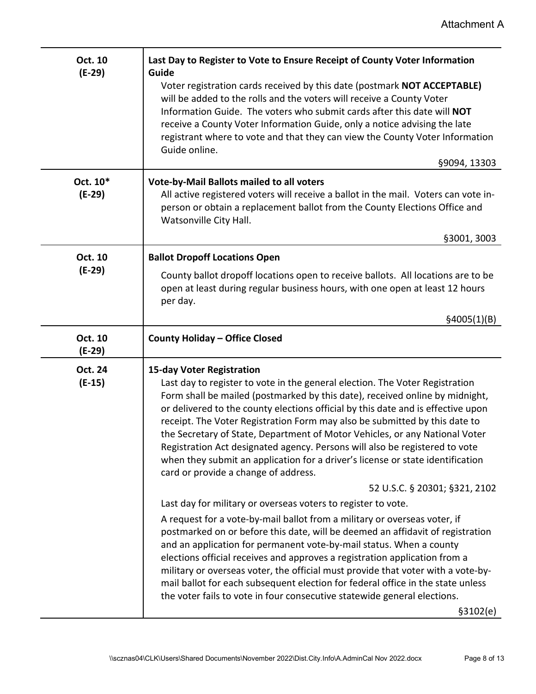| Oct. 10<br>$(E-29)$  | Last Day to Register to Vote to Ensure Receipt of County Voter Information<br>Guide                                                                                                                                                                                                                                                                                                                                                                                                                                                                                                                                                                        |
|----------------------|------------------------------------------------------------------------------------------------------------------------------------------------------------------------------------------------------------------------------------------------------------------------------------------------------------------------------------------------------------------------------------------------------------------------------------------------------------------------------------------------------------------------------------------------------------------------------------------------------------------------------------------------------------|
|                      | Voter registration cards received by this date (postmark NOT ACCEPTABLE)<br>will be added to the rolls and the voters will receive a County Voter<br>Information Guide. The voters who submit cards after this date will NOT<br>receive a County Voter Information Guide, only a notice advising the late<br>registrant where to vote and that they can view the County Voter Information<br>Guide online.                                                                                                                                                                                                                                                 |
|                      | §9094, 13303                                                                                                                                                                                                                                                                                                                                                                                                                                                                                                                                                                                                                                               |
| Oct. 10*<br>$(E-29)$ | <b>Vote-by-Mail Ballots mailed to all voters</b><br>All active registered voters will receive a ballot in the mail. Voters can vote in-<br>person or obtain a replacement ballot from the County Elections Office and<br>Watsonville City Hall.                                                                                                                                                                                                                                                                                                                                                                                                            |
|                      | §3001, 3003                                                                                                                                                                                                                                                                                                                                                                                                                                                                                                                                                                                                                                                |
| Oct. 10              | <b>Ballot Dropoff Locations Open</b>                                                                                                                                                                                                                                                                                                                                                                                                                                                                                                                                                                                                                       |
| $(E-29)$             | County ballot dropoff locations open to receive ballots. All locations are to be<br>open at least during regular business hours, with one open at least 12 hours<br>per day.                                                                                                                                                                                                                                                                                                                                                                                                                                                                               |
|                      | §4005(1)(B)                                                                                                                                                                                                                                                                                                                                                                                                                                                                                                                                                                                                                                                |
| Oct. 10<br>$(E-29)$  | <b>County Holiday - Office Closed</b>                                                                                                                                                                                                                                                                                                                                                                                                                                                                                                                                                                                                                      |
| Oct. 24<br>$(E-15)$  | <b>15-day Voter Registration</b><br>Last day to register to vote in the general election. The Voter Registration<br>Form shall be mailed (postmarked by this date), received online by midnight,<br>or delivered to the county elections official by this date and is effective upon<br>receipt. The Voter Registration Form may also be submitted by this date to<br>the Secretary of State, Department of Motor Vehicles, or any National Voter<br>Registration Act designated agency. Persons will also be registered to vote<br>when they submit an application for a driver's license or state identification<br>card or provide a change of address. |
|                      | 52 U.S.C. § 20301; §321, 2102                                                                                                                                                                                                                                                                                                                                                                                                                                                                                                                                                                                                                              |
|                      | Last day for military or overseas voters to register to vote.                                                                                                                                                                                                                                                                                                                                                                                                                                                                                                                                                                                              |
|                      |                                                                                                                                                                                                                                                                                                                                                                                                                                                                                                                                                                                                                                                            |
|                      | A request for a vote-by-mail ballot from a military or overseas voter, if<br>postmarked on or before this date, will be deemed an affidavit of registration<br>and an application for permanent vote-by-mail status. When a county<br>elections official receives and approves a registration application from a<br>military or overseas voter, the official must provide that voter with a vote-by-<br>mail ballot for each subsequent election for federal office in the state unless<br>the voter fails to vote in four consecutive statewide general elections.<br>\$3102(e)                                                                           |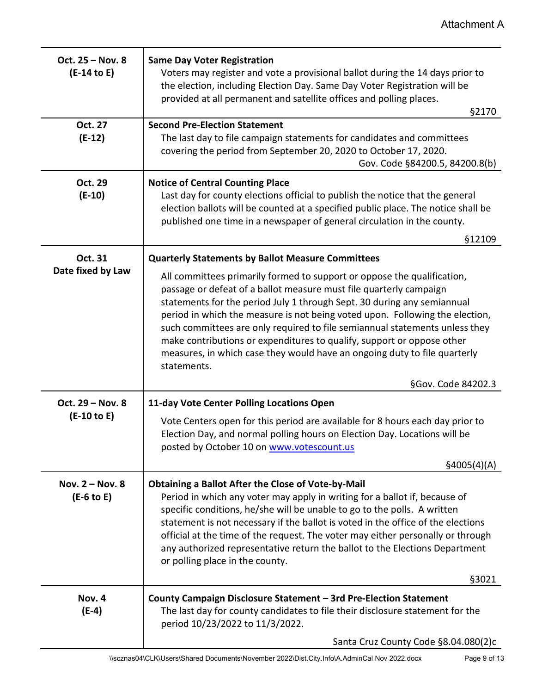| Oct. 25 - Nov. 8<br>$(E-14$ to E) | <b>Same Day Voter Registration</b><br>Voters may register and vote a provisional ballot during the 14 days prior to<br>the election, including Election Day. Same Day Voter Registration will be<br>provided at all permanent and satellite offices and polling places.<br>§2170                                                                                                                                                                                                                                                                              |
|-----------------------------------|---------------------------------------------------------------------------------------------------------------------------------------------------------------------------------------------------------------------------------------------------------------------------------------------------------------------------------------------------------------------------------------------------------------------------------------------------------------------------------------------------------------------------------------------------------------|
| Oct. 27<br>$(E-12)$               | <b>Second Pre-Election Statement</b><br>The last day to file campaign statements for candidates and committees<br>covering the period from September 20, 2020 to October 17, 2020.<br>Gov. Code §84200.5, 84200.8(b)                                                                                                                                                                                                                                                                                                                                          |
| <b>Oct. 29</b><br>$(E-10)$        | <b>Notice of Central Counting Place</b><br>Last day for county elections official to publish the notice that the general<br>election ballots will be counted at a specified public place. The notice shall be<br>published one time in a newspaper of general circulation in the county.<br>§12109                                                                                                                                                                                                                                                            |
| Oct. 31                           | <b>Quarterly Statements by Ballot Measure Committees</b>                                                                                                                                                                                                                                                                                                                                                                                                                                                                                                      |
| Date fixed by Law                 | All committees primarily formed to support or oppose the qualification,<br>passage or defeat of a ballot measure must file quarterly campaign<br>statements for the period July 1 through Sept. 30 during any semiannual<br>period in which the measure is not being voted upon. Following the election,<br>such committees are only required to file semiannual statements unless they<br>make contributions or expenditures to qualify, support or oppose other<br>measures, in which case they would have an ongoing duty to file quarterly<br>statements. |
|                                   | §Gov. Code 84202.3                                                                                                                                                                                                                                                                                                                                                                                                                                                                                                                                            |
| Oct. 29 - Nov. 8<br>$(E-10 to E)$ | 11-day Vote Center Polling Locations Open<br>Vote Centers open for this period are available for 8 hours each day prior to<br>Election Day, and normal polling hours on Election Day. Locations will be<br>posted by October 10 on www.votescount.us<br>\$4005(4)(A)                                                                                                                                                                                                                                                                                          |
| Nov. 2 - Nov. 8<br>$(E-6$ to E)   | <b>Obtaining a Ballot After the Close of Vote-by-Mail</b><br>Period in which any voter may apply in writing for a ballot if, because of<br>specific conditions, he/she will be unable to go to the polls. A written<br>statement is not necessary if the ballot is voted in the office of the elections<br>official at the time of the request. The voter may either personally or through<br>any authorized representative return the ballot to the Elections Department<br>or polling place in the county.<br>§3021                                         |
| Nov. 4                            | County Campaign Disclosure Statement - 3rd Pre-Election Statement                                                                                                                                                                                                                                                                                                                                                                                                                                                                                             |
| $(E-4)$                           | The last day for county candidates to file their disclosure statement for the<br>period 10/23/2022 to 11/3/2022.                                                                                                                                                                                                                                                                                                                                                                                                                                              |
|                                   | Santa Cruz County Code §8.04.080(2)c                                                                                                                                                                                                                                                                                                                                                                                                                                                                                                                          |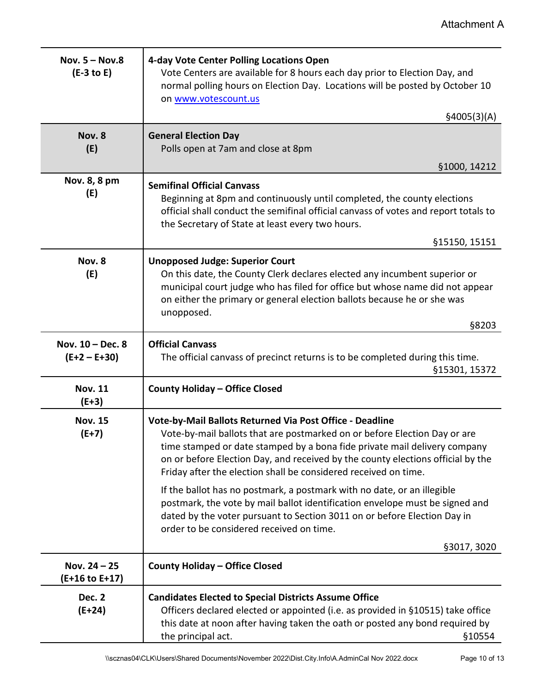| Nov. $5 - Nov.8$<br>$(E-3 to E)$   | 4-day Vote Center Polling Locations Open<br>Vote Centers are available for 8 hours each day prior to Election Day, and<br>normal polling hours on Election Day. Locations will be posted by October 10<br>on www.votescount.us                                                                                                                                           |
|------------------------------------|--------------------------------------------------------------------------------------------------------------------------------------------------------------------------------------------------------------------------------------------------------------------------------------------------------------------------------------------------------------------------|
|                                    | \$4005(3)(A)                                                                                                                                                                                                                                                                                                                                                             |
| Nov. 8<br>(E)                      | <b>General Election Day</b><br>Polls open at 7am and close at 8pm                                                                                                                                                                                                                                                                                                        |
|                                    | §1000, 14212                                                                                                                                                                                                                                                                                                                                                             |
| Nov. 8, 8 pm<br>(E)                | <b>Semifinal Official Canvass</b><br>Beginning at 8pm and continuously until completed, the county elections<br>official shall conduct the semifinal official canvass of votes and report totals to<br>the Secretary of State at least every two hours.                                                                                                                  |
|                                    | §15150, 15151                                                                                                                                                                                                                                                                                                                                                            |
| Nov. 8<br>(E)                      | <b>Unopposed Judge: Superior Court</b><br>On this date, the County Clerk declares elected any incumbent superior or<br>municipal court judge who has filed for office but whose name did not appear<br>on either the primary or general election ballots because he or she was<br>unopposed.<br>§8203                                                                    |
| Nov. 10 - Dec. 8<br>$(E+2 - E+30)$ | <b>Official Canvass</b><br>The official canvass of precinct returns is to be completed during this time.<br>§15301, 15372                                                                                                                                                                                                                                                |
| <b>Nov. 11</b><br>$(E+3)$          | <b>County Holiday - Office Closed</b>                                                                                                                                                                                                                                                                                                                                    |
| <b>Nov. 15</b><br>$(E+7)$          | Vote-by-Mail Ballots Returned Via Post Office - Deadline<br>Vote-by-mail ballots that are postmarked on or before Election Day or are<br>time stamped or date stamped by a bona fide private mail delivery company<br>on or before Election Day, and received by the county elections official by the<br>Friday after the election shall be considered received on time. |
|                                    | If the ballot has no postmark, a postmark with no date, or an illegible<br>postmark, the vote by mail ballot identification envelope must be signed and<br>dated by the voter pursuant to Section 3011 on or before Election Day in<br>order to be considered received on time.                                                                                          |
|                                    | §3017, 3020                                                                                                                                                                                                                                                                                                                                                              |
| Nov. $24 - 25$<br>(E+16 to E+17)   | <b>County Holiday - Office Closed</b>                                                                                                                                                                                                                                                                                                                                    |
| Dec. 2<br>$(E+24)$                 | <b>Candidates Elected to Special Districts Assume Office</b><br>Officers declared elected or appointed (i.e. as provided in §10515) take office<br>this date at noon after having taken the oath or posted any bond required by<br>the principal act.<br>§10554                                                                                                          |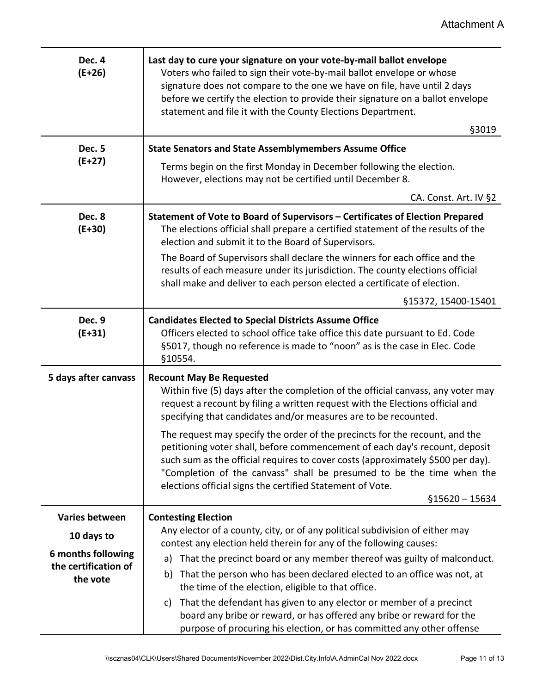| Dec. 4<br>$(E+26)$               | Last day to cure your signature on your vote-by-mail ballot envelope<br>Voters who failed to sign their vote-by-mail ballot envelope or whose<br>signature does not compare to the one we have on file, have until 2 days<br>before we certify the election to provide their signature on a ballot envelope<br>statement and file it with the County Elections Department.                              |
|----------------------------------|---------------------------------------------------------------------------------------------------------------------------------------------------------------------------------------------------------------------------------------------------------------------------------------------------------------------------------------------------------------------------------------------------------|
| <b>Dec. 5</b>                    | §3019<br><b>State Senators and State Assemblymembers Assume Office</b>                                                                                                                                                                                                                                                                                                                                  |
| $(E+27)$                         | Terms begin on the first Monday in December following the election.<br>However, elections may not be certified until December 8.                                                                                                                                                                                                                                                                        |
|                                  | CA. Const. Art. IV §2                                                                                                                                                                                                                                                                                                                                                                                   |
| Dec. 8<br>$(E+30)$               | Statement of Vote to Board of Supervisors - Certificates of Election Prepared<br>The elections official shall prepare a certified statement of the results of the<br>election and submit it to the Board of Supervisors.                                                                                                                                                                                |
|                                  | The Board of Supervisors shall declare the winners for each office and the<br>results of each measure under its jurisdiction. The county elections official<br>shall make and deliver to each person elected a certificate of election.                                                                                                                                                                 |
|                                  | §15372, 15400-15401                                                                                                                                                                                                                                                                                                                                                                                     |
| Dec. 9<br>$(E+31)$               | <b>Candidates Elected to Special Districts Assume Office</b><br>Officers elected to school office take office this date pursuant to Ed. Code<br>§5017, though no reference is made to "noon" as is the case in Elec. Code<br>§10554.                                                                                                                                                                    |
| 5 days after canvass             | <b>Recount May Be Requested</b><br>Within five (5) days after the completion of the official canvass, any voter may<br>request a recount by filing a written request with the Elections official and<br>specifying that candidates and/or measures are to be recounted.                                                                                                                                 |
|                                  | The request may specify the order of the precincts for the recount, and the<br>petitioning voter shall, before commencement of each day's recount, deposit<br>such sum as the official requires to cover costs (approximately \$500 per day).<br>"Completion of the canvass" shall be presumed to be the time when the<br>elections official signs the certified Statement of Vote.<br>$$15620 - 15634$ |
| <b>Varies between</b>            | <b>Contesting Election</b>                                                                                                                                                                                                                                                                                                                                                                              |
| 10 days to                       | Any elector of a county, city, or of any political subdivision of either may                                                                                                                                                                                                                                                                                                                            |
| 6 months following               | contest any election held therein for any of the following causes:<br>That the precinct board or any member thereof was guilty of malconduct.<br>a)                                                                                                                                                                                                                                                     |
| the certification of<br>the vote | That the person who has been declared elected to an office was not, at<br>b)<br>the time of the election, eligible to that office.                                                                                                                                                                                                                                                                      |
|                                  | That the defendant has given to any elector or member of a precinct<br>c)<br>board any bribe or reward, or has offered any bribe or reward for the<br>purpose of procuring his election, or has committed any other offense                                                                                                                                                                             |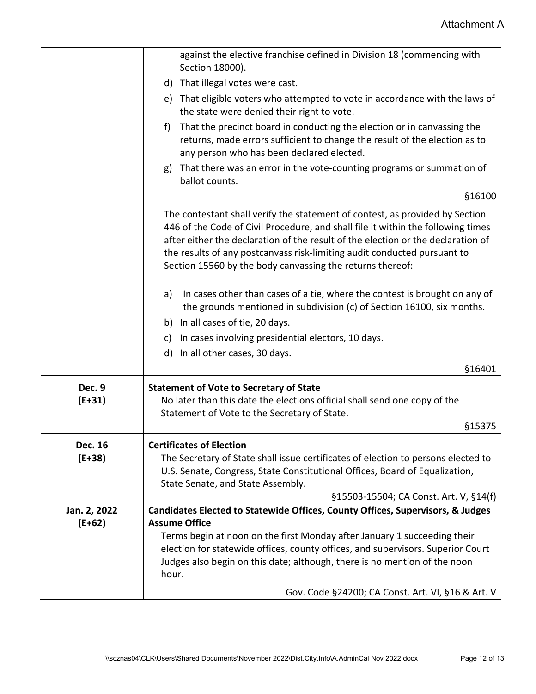|                          | against the elective franchise defined in Division 18 (commencing with<br>Section 18000).                                                                                                                                                                                                                                                                                                     |
|--------------------------|-----------------------------------------------------------------------------------------------------------------------------------------------------------------------------------------------------------------------------------------------------------------------------------------------------------------------------------------------------------------------------------------------|
|                          | d) That illegal votes were cast.                                                                                                                                                                                                                                                                                                                                                              |
|                          | e) That eligible voters who attempted to vote in accordance with the laws of<br>the state were denied their right to vote.                                                                                                                                                                                                                                                                    |
|                          | f)<br>That the precinct board in conducting the election or in canvassing the<br>returns, made errors sufficient to change the result of the election as to<br>any person who has been declared elected.                                                                                                                                                                                      |
|                          | That there was an error in the vote-counting programs or summation of<br>g)<br>ballot counts.                                                                                                                                                                                                                                                                                                 |
|                          | §16100                                                                                                                                                                                                                                                                                                                                                                                        |
|                          | The contestant shall verify the statement of contest, as provided by Section<br>446 of the Code of Civil Procedure, and shall file it within the following times<br>after either the declaration of the result of the election or the declaration of<br>the results of any postcanvass risk-limiting audit conducted pursuant to<br>Section 15560 by the body canvassing the returns thereof: |
|                          | In cases other than cases of a tie, where the contest is brought on any of<br>a)<br>the grounds mentioned in subdivision (c) of Section 16100, six months.                                                                                                                                                                                                                                    |
|                          | b) In all cases of tie, 20 days.                                                                                                                                                                                                                                                                                                                                                              |
|                          | In cases involving presidential electors, 10 days.<br>C)                                                                                                                                                                                                                                                                                                                                      |
|                          | In all other cases, 30 days.<br>d)                                                                                                                                                                                                                                                                                                                                                            |
|                          | §16401                                                                                                                                                                                                                                                                                                                                                                                        |
| <b>Dec. 9</b>            | <b>Statement of Vote to Secretary of State</b>                                                                                                                                                                                                                                                                                                                                                |
| $(E+31)$                 | No later than this date the elections official shall send one copy of the                                                                                                                                                                                                                                                                                                                     |
|                          | Statement of Vote to the Secretary of State.<br>§15375                                                                                                                                                                                                                                                                                                                                        |
|                          |                                                                                                                                                                                                                                                                                                                                                                                               |
| Dec. 16<br>$(E+38)$      | <b>Certificates of Election</b><br>The Secretary of State shall issue certificates of election to persons elected to<br>U.S. Senate, Congress, State Constitutional Offices, Board of Equalization,<br>State Senate, and State Assembly.                                                                                                                                                      |
|                          | §15503-15504; CA Const. Art. V, §14(f)                                                                                                                                                                                                                                                                                                                                                        |
| Jan. 2, 2022<br>$(E+62)$ | Candidates Elected to Statewide Offices, County Offices, Supervisors, & Judges<br><b>Assume Office</b>                                                                                                                                                                                                                                                                                        |
|                          | Terms begin at noon on the first Monday after January 1 succeeding their                                                                                                                                                                                                                                                                                                                      |
|                          | election for statewide offices, county offices, and supervisors. Superior Court                                                                                                                                                                                                                                                                                                               |
|                          | Judges also begin on this date; although, there is no mention of the noon<br>hour.                                                                                                                                                                                                                                                                                                            |
|                          | Gov. Code §24200; CA Const. Art. VI, §16 & Art. V                                                                                                                                                                                                                                                                                                                                             |